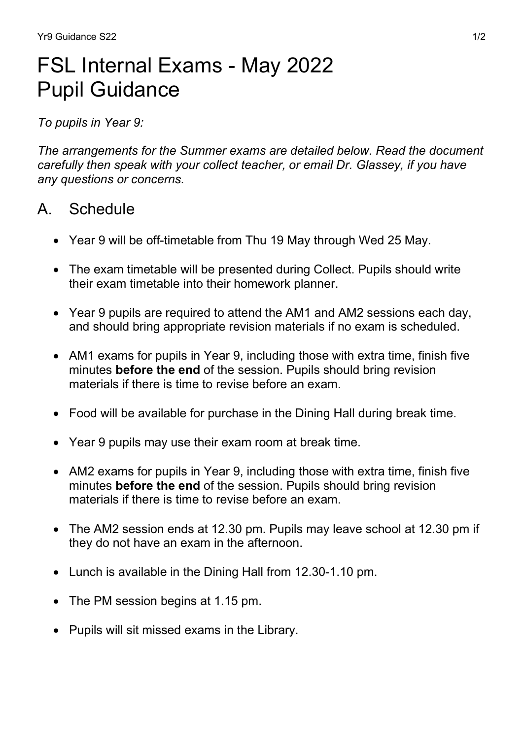# FSL Internal Exams - May 2022 Pupil Guidance

To pupils in Year 9:

The arrangements for the Summer exams are detailed below. Read the document carefully then speak with your collect teacher, or email Dr. Glassey, if you have any questions or concerns.

## A. Schedule

- Year 9 will be off-timetable from Thu 19 May through Wed 25 May.
- The exam timetable will be presented during Collect. Pupils should write their exam timetable into their homework planner.
- Year 9 pupils are required to attend the AM1 and AM2 sessions each day, and should bring appropriate revision materials if no exam is scheduled.
- AM1 exams for pupils in Year 9, including those with extra time, finish five minutes **before the end** of the session. Pupils should bring revision materials if there is time to revise before an exam.
- Food will be available for purchase in the Dining Hall during break time.
- Year 9 pupils may use their exam room at break time.
- AM2 exams for pupils in Year 9, including those with extra time, finish five minutes **before the end** of the session. Pupils should bring revision materials if there is time to revise before an exam.
- The AM2 session ends at 12.30 pm. Pupils may leave school at 12.30 pm if they do not have an exam in the afternoon.
- Lunch is available in the Dining Hall from 12.30-1.10 pm.
- The PM session begins at 1.15 pm.
- Pupils will sit missed exams in the Library.